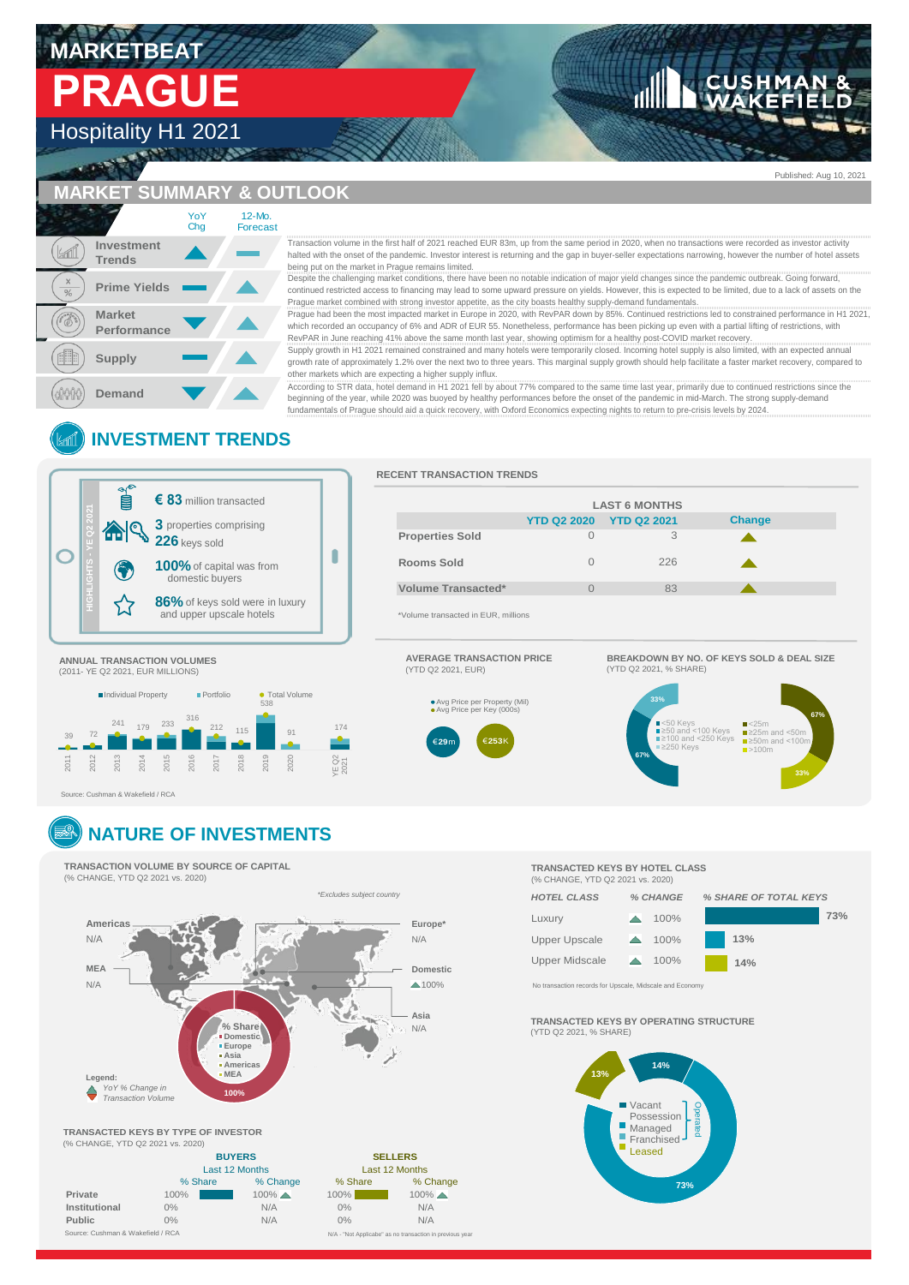# **MARKETBEAT  PRAGUE**

# Hospitality H1 2021

|           | <b>MARKET SUMMARY &amp; OU</b> |            |                           |
|-----------|--------------------------------|------------|---------------------------|
|           |                                | YoY<br>Cha | 12-Mo.<br><b>Forecast</b> |
|           | Investment<br><b>Trends</b>    |            |                           |
| X<br>$\%$ | <b>Prime Yields</b>            |            |                           |
|           | <b>Market</b><br>Performance   |            |                           |
|           | <b>Supply</b>                  |            |                           |
|           | Demand                         |            |                           |

**TLOOK** 

### halted with the onset of the pandemic. Investor interest is returning and the gap in buyer-seller expectations narrowing, however the number of hotel assets being put on the market in Prague remains limited.

Despite the challenging market conditions, there have been no notable indication of major yield changes since the pandemic outbreak. Going forward, continued restricted access to financing may lead to some upward pressure on yields. However, this is expected to be limited, due to a lack of assets on the

Prague market combined with strong investor appetite, as the city boasts healthy supply-demand fundamentals.<br>Prague had been the most impacted market in Europe in 2020, with RevPAR down by 85%. Continued restrictions led t which recorded an occupancy of 6% and ADR of EUR 55. Nonetheless, performance has been picking up even with a partial lifting of restrictions, with RevPAR in June reaching 41% above the same month last year, showing optimism for a healthy post-COVID market recovery.

Supply growth in H1 2021 remained constrained and many hotels were temporarily closed. Incoming hotel supply is also limited, with an expected annual growth rate of approximately 1.2% over the next two to three years. This marginal supply growth should help facilitate a faster market recovery, compared to other markets which are expecting a higher supply influx.

Transaction volume in the first half of 2021 reached EUR 83m, up from the same period in 2020, when no transactions were recorded as investor that the first half of 2021 reached the particline put on the matted in Prague r According to STR data, hotel demand in H1 2021 fell by about 77% compared to the same time last year, primarily due to continued restrictions since the<br>beginning of the year, while 2020 was buoyed by healthy performances b fundamentals of Prague should aid a quick recovery, with Oxford Economics expecting nights to return to pre-crisis levels by 2024.

# **INVESTMENT TRENDS**



### **RECENT TRANSACTION TRENDS**

|                                    | <b>LAST 6 MONTHS</b> |                    |               |  |
|------------------------------------|----------------------|--------------------|---------------|--|
|                                    | <b>YTD Q2 2020</b>   | <b>YTD Q2 2021</b> | <b>Change</b> |  |
| <b>Properties Sold</b>             | $\Omega$             | 3                  |               |  |
| Rooms Sold                         | O                    | 226                |               |  |
| Volume Transacted*                 |                      | 83                 |               |  |
| *Volume transacted in FUR millions |                      |                    |               |  |

\*Volume transacted in EUR, millions

(YTD Q2 2021, EUR)

**29**

**AVERAGE TRANSACTION PRICE**

Avg Price per Property (Mil) Avg Price per Key (000s)

**253**  $\epsilon$ 29m  $\epsilon$ 253K

# (2011- YE Q2 2021, EUR MILLIONS)



Source: Cushman & Wakefield / RCA

# **NATURE OF INVESTMENTS**

**TRANSACTION VOLUME BY SOURCE OF CAPITAL** (% CHANGE, YTD Q2 2021 vs. 2020)



*\*Excludes subject country*

| <b>TRANSACTED KEYS BY TYPE OF INVESTOR</b> |                |                     |                |                                                          |  |
|--------------------------------------------|----------------|---------------------|----------------|----------------------------------------------------------|--|
| (% CHANGE, YTD Q2 2021 vs. 2020)           |                |                     |                |                                                          |  |
|                                            | <b>BUYERS</b>  |                     | <b>SELLERS</b> |                                                          |  |
|                                            | Last 12 Months |                     | Last 12 Months |                                                          |  |
|                                            | % Share        | % Change            | % Share        | % Change                                                 |  |
| Private                                    | 100%           | $100\%$ $\triangle$ | 100%           | $100\%$ $\triangle$                                      |  |
| Institutional                              | $0\%$          | N/A                 | $0\%$          | N/A                                                      |  |
| <b>Public</b>                              | 0%             | N/A                 | 0%             | N/A                                                      |  |
| Source: Cushman & Wakefield / RCA          |                |                     |                | N/A - "Not Applicabe" as no transaction in previous year |  |

### **TRANSACTED KEYS BY HOTEL CLASS** (% CHANGE, YTD Q2 2021 vs. 2020)

**67%**

**33%**

SKEARDOWN BT NO.

Prague  $33%$ Prague  $\blacksquare$  $\frac{1}{2}$   $\frac{1}{2}$   $\geq 1$  $R = 225$ Prague

 $\sum_{i=1}^{n}$ Czech Republic  $33\%$ Czech Republic Czech Republic Republic Republic Republic Republic Republic Republic Republic Republic Republic Republic Republic Republic Republic Republic Republic Republic Republic Republic Republic Republic Republic Republic Republic Czech Republic Republic Republic Republic Republic Republic Republic Republic Republic Republic Republic Republ<br>Discoveries Republic Republic Republic Republic Republic Republic Republic Republic Republic Republic Republi Czech Republic 250 Czech Republican Republican Republican Republican Republican Republican Republican Republican Republican Republican Republican Republican Republican Republican Republican Republican Republican Republican Republican Republi Czech Republic

<50 Keys

.<br><100 Keys ≥100 and <250 Keys ≥250 Keys

**BREAKDOWN BY NO. OF KEYS SOLD & DEAL SIZE**

<25m  $\geq$ 25m and <50m ≥50m and <100m >100m

**67%**



**TRANSACTED KEYS BY OPERATING STRUCTURE**



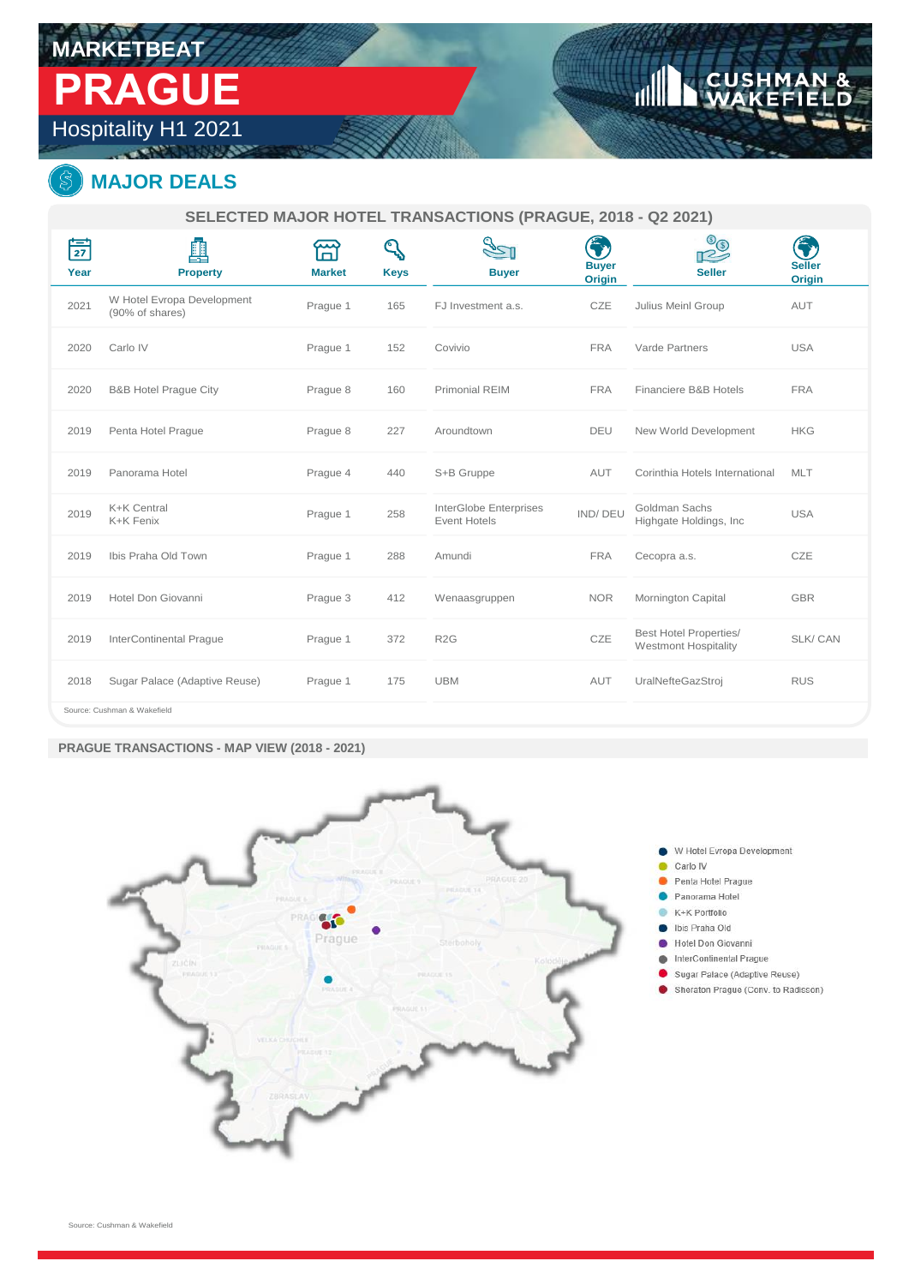# **MARKETBEAT  PRAGUE**

Hospitality H1 2021

# **MAJOR DEALS**

**SELECTED MAJOR HOTEL TRANSACTIONS (PRAGUE, 2018 - Q2 2021)**

| $\frac{1}{27}$<br>Year | 醧<br><b>Property</b>                          | <b>Market</b> | <b>Keys</b> | <b>Buyer</b>                                  | 3<br><b>Buyer</b><br><b>Origin</b> | $\circledcirc$<br>$\sim$<br><b>Seller</b>                    | <b>Seller</b><br>Origin |
|------------------------|-----------------------------------------------|---------------|-------------|-----------------------------------------------|------------------------------------|--------------------------------------------------------------|-------------------------|
| 2021                   | W Hotel Evropa Development<br>(90% of shares) | Prague 1      | 165         | FJ Investment a.s.                            | CZE                                | Julius Meinl Group                                           | AUT                     |
| 2020                   | Carlo IV                                      | Prague 1      | 152         | Covivio                                       | <b>FRA</b>                         | Varde Partners                                               | <b>USA</b>              |
| 2020                   | <b>B&amp;B Hotel Praque City</b>              | Prague 8      | 160         | Primonial REIM                                | <b>FRA</b>                         | Financiere B&B Hotels                                        | <b>FRA</b>              |
| 2019                   | Penta Hotel Prague                            | Prague 8      | 227         | Aroundtown                                    | DEU                                | New World Development                                        | <b>HKG</b>              |
| 2019                   | Panorama Hotel                                | Prague 4      | 440         | S+B Gruppe                                    | AUT                                | Corinthia Hotels International                               | <b>MLT</b>              |
| 2019                   | K+K Central<br>K+K Fenix                      | Prague 1      | 258         | InterGlobe Enterprises<br><b>Event Hotels</b> | IND/DEU                            | Goldman Sachs<br>Highgate Holdings, Inc.                     | <b>USA</b>              |
| 2019                   | Ibis Praha Old Town                           | Prague 1      | 288         | Amundi                                        | <b>FRA</b>                         | Cecopra a.s.                                                 | CZE                     |
| 2019                   | Hotel Don Giovanni                            | Prague 3      | 412         | Wenaasgruppen                                 | <b>NOR</b>                         | Mornington Capital                                           | <b>GBR</b>              |
| 2019                   | <b>InterContinental Prague</b>                | Prague 1      | 372         | R <sub>2</sub> G                              | CZE                                | <b>Best Hotel Properties/</b><br><b>Westmont Hospitality</b> | SLK/CAN                 |
| 2018                   | Sugar Palace (Adaptive Reuse)                 | Prague 1      | 175         | <b>UBM</b>                                    | AUT                                | UralNefteGazStroj                                            | <b>RUS</b>              |
|                        | Course: Cushman & Waksfield                   |               |             |                                               |                                    |                                                              |                         |

Source: Cushman & Wakefield